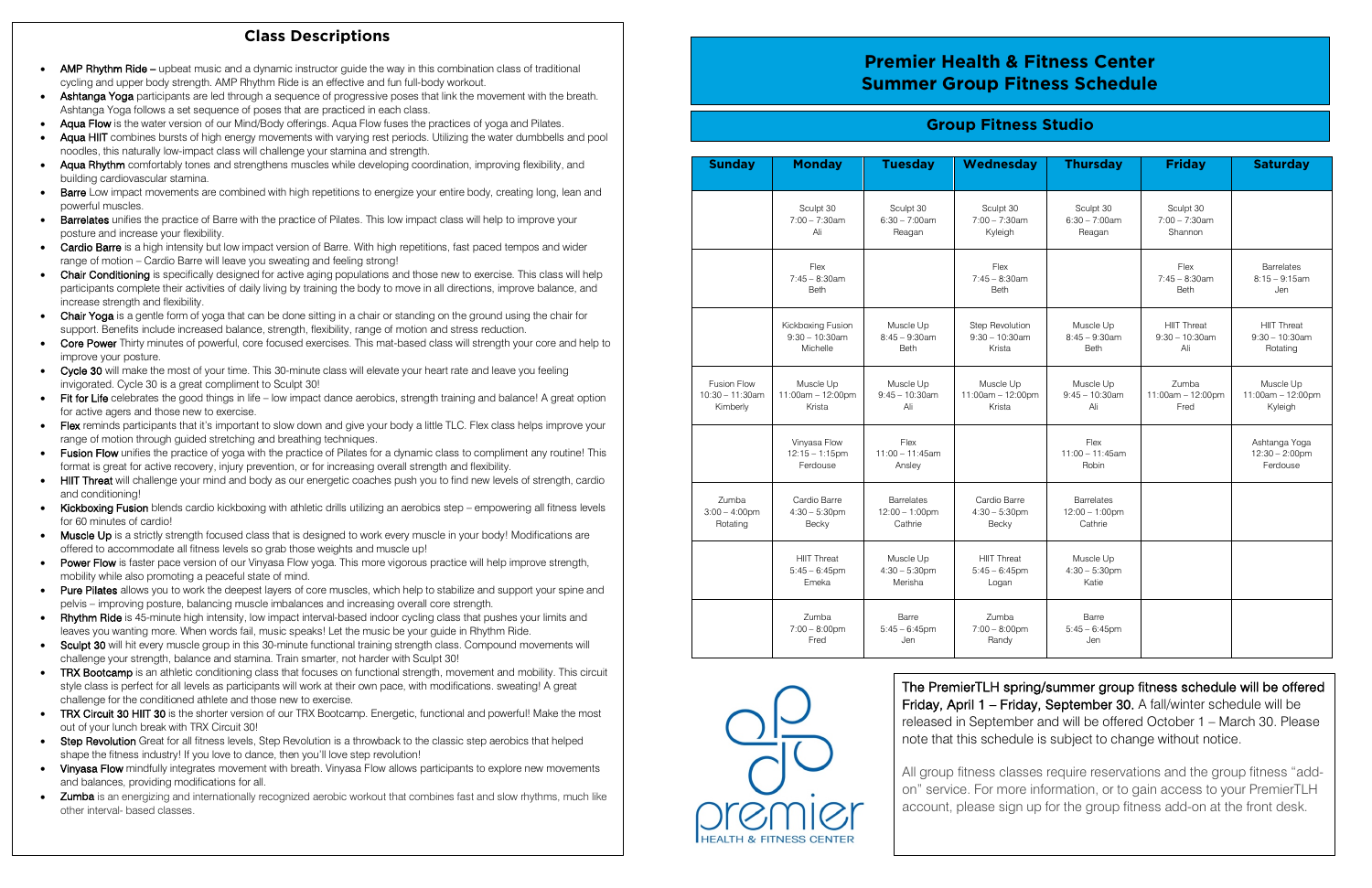| <b>Sunday</b>                                        | <b>Monday</b>                                      | <b>Tuesday</b>                                           | Wednesday                                       | <b>Thursday</b>                                   | <b>Friday</b>                                  | <b>Saturday</b>                                       |
|------------------------------------------------------|----------------------------------------------------|----------------------------------------------------------|-------------------------------------------------|---------------------------------------------------|------------------------------------------------|-------------------------------------------------------|
|                                                      | Sculpt 30<br>$7:00 - 7:30$ am<br>Ali               | Sculpt 30<br>$6:30 - 7:00$ am<br>Reagan                  | Sculpt 30<br>$7:00 - 7:30$ am<br>Kyleigh        | Sculpt 30<br>$6:30 - 7:00$ am<br>Reagan           | Sculpt 30<br>$7:00 - 7:30$ am<br>Shannon       |                                                       |
|                                                      | Flex<br>$7:45 - 8:30$ am<br><b>Beth</b>            |                                                          | Flex<br>$7:45 - 8:30am$<br><b>Beth</b>          |                                                   | Flex<br>$7:45 - 8:30$ am<br><b>Beth</b>        | <b>Barrelates</b><br>$8:15 - 9:15$ am<br>Jen          |
|                                                      | Kickboxing Fusion<br>$9:30 - 10:30$ am<br>Michelle | Muscle Up<br>$8:45 - 9:30$ am<br><b>Beth</b>             | Step Revolution<br>$9:30 - 10:30$ am<br>Krista  | Muscle Up<br>$8:45 - 9:30$ am<br><b>Beth</b>      | <b>HIIT Threat</b><br>$9:30 - 10:30$ am<br>Ali | <b>HIIT Threat</b><br>$9:30 - 10:30$ am<br>Rotating   |
| <b>Fusion Flow</b><br>$10:30 - 11:30$ am<br>Kimberly | Muscle Up<br>11:00am - 12:00pm<br>Krista           | Muscle Up<br>$9:45 - 10:30$ am<br>Ali                    | Muscle Up<br>11:00am - 12:00pm<br>Krista        | Muscle Up<br>$9:45 - 10:30$ am<br>Ali             | Zumba<br>11:00am - 12:00pm<br>Fred             | Muscle Up<br>11:00am - 12:00pm<br>Kyleigh             |
|                                                      | Vinyasa Flow<br>$12:15 - 1:15$ pm<br>Ferdouse      | Flex<br>$11:00 - 11:45$ am<br>Ansley                     |                                                 | Flex<br>$11:00 - 11:45am$<br>Robin                |                                                | Ashtanga Yoga<br>$12:30 - 2:00 \text{pm}$<br>Ferdouse |
| Zumba<br>$3:00 - 4:00$ pm<br>Rotating                | Cardio Barre<br>$4:30 - 5:30$ pm<br>Becky          | <b>Barrelates</b><br>$12:00 - 1:00 \text{pm}$<br>Cathrie | Cardio Barre<br>$4:30 - 5:30$ pm<br>Becky       | <b>Barrelates</b><br>$12:00 - 1:00$ pm<br>Cathrie |                                                |                                                       |
|                                                      | <b>HIIT Threat</b><br>$5:45 - 6:45$ pm<br>Emeka    | Muscle Up<br>$4:30 - 5:30$ pm<br>Merisha                 | <b>HIIT Threat</b><br>$5:45 - 6:45$ pm<br>Logan | Muscle Up<br>$4:30 - 5:30$ pm<br>Katie            |                                                |                                                       |
|                                                      | Zumba<br>$7:00 - 8:00$ pm<br>Fred                  | Barre<br>$5:45 - 6:45$ pm<br>Jen                         | Zumba<br>$7:00 - 8:00$ pm<br>Randy              | Barre<br>$5:45 - 6:45$ pm<br>Jen                  |                                                |                                                       |



## **Group Fitness Studio**

## **Class Descriptions**

- AMP Rhythm Ride upbeat music and a dynamic instructor guide the way in this combination class of traditional cycling and upper body strength. AMP Rhythm Ride is an effective and fun full-body workout.
- Ashtanga Yoga participants are led through a sequence of progressive poses that link the movement with the breath. Ashtanga Yoga follows a set sequence of poses that are practiced in each class.
- Aqua Flow is the water version of our Mind/Body offerings. Aqua Flow fuses the practices of yoga and Pilates.
- noodles, this naturally low-impact class will challenge your stamina and strength. Aqua HIIT combines bursts of high energy movements with varying rest periods. Utilizing the water dumbbells and pool
- Aqua Rhythm comfortably tones and strengthens muscles while developing coordination, improving flexibility, and building cardiovascular stamina.
- **Barre** Low impact movements are combined with high repetitions to energize your entire body, creating long, lean and powerful muscles.
- Barrelates unifies the practice of Barre with the practice of Pilates. This low impact class will help to improve your posture and increase your flexibility.
- Cardio Barre is a high intensity but low impact version of Barre. With high repetitions, fast paced tempos and wider range of motion – Cardio Barre will leave you sweating and feeling strong!
- Chair Conditioning is specifically designed for active aging populations and those new to exercise. This class will help participants complete their activities of daily living by training the body to move in all directions, improve balance, and increase strength and flexibility.
- Chair Yoga is a gentle form of yoga that can be done sitting in a chair or standing on the ground using the chair for support. Benefits include increased balance, strength, flexibility, range of motion and stress reduction.
- Core Power Thirty minutes of powerful, core focused exercises. This mat-based class will strength your core and help to improve your posture.
- Cycle 30 will make the most of your time. This 30-minute class will elevate your heart rate and leave you feeling invigorated. Cycle 30 is a great compliment to Sculpt 30!
- Fit for Life celebrates the good things in life low impact dance aerobics, strength training and balance! A great option for active agers and those new to exercise.
- Flex reminds participants that it's important to slow down and give your body a little TLC. Flex class helps improve your range of motion through guided stretching and breathing techniques.
- Fusion Flow unifies the practice of yoga with the practice of Pilates for a dynamic class to compliment any routine! This format is great for active recovery, injury prevention, or for increasing overall strength and flexibility.
- HIIT Threat will challenge your mind and body as our energetic coaches push you to find new levels of strength, cardio and conditioning!
- Kickboxing Fusion blends cardio kickboxing with athletic drills utilizing an aerobics step empowering all fitness levels for 60 minutes of cardio!
- Muscle Up is a strictly strength focused class that is designed to work every muscle in your body! Modifications are offered to accommodate all fitness levels so grab those weights and muscle up!
- Power Flow is faster pace version of our Vinyasa Flow yoga. This more vigorous practice will help improve strength, mobility while also promoting a peaceful state of mind.
- Pure Pilates allows you to work the deepest layers of core muscles, which help to stabilize and support your spine and pelvis – improving posture, balancing muscle imbalances and increasing overall core strength.
- **Rhythm Ride** is 45-minute high intensity, low impact interval-based indoor cycling class that pushes your limits and leaves you wanting more. When words fail, music speaks! Let the music be your guide in Rhythm Ride.
- Sculpt 30 will hit every muscle group in this 30-minute functional training strength class. Compound movements will challenge your strength, balance and stamina. Train smarter, not harder with Sculpt 30!
- TRX Bootcamp is an athletic conditioning class that focuses on functional strength, movement and mobility. This circuit style class is perfect for all levels as participants will work at their own pace, with modifications. sweating! A great challenge for the conditioned athlete and those new to exercise.
- TRX Circuit 30 HIIT 30 is the shorter version of our TRX Bootcamp. Energetic, functional and powerful! Make the most out of your lunch break with TRX Circuit 30!
- Step Revolution Great for all fitness levels, Step Revolution is a throwback to the classic step aerobics that helped shape the fitness industry! If you love to dance, then you'll love step revolution!
- Vinyasa Flow mindfully integrates movement with breath. Vinyasa Flow allows participants to explore new movements and balances, providing modifications for all.
- Zumba is an energizing and internationally recognized aerobic workout that combines fast and slow rhythms, much like other interval- based classes.

# **Premier Health & Fitness Center Summer Group Fitness Schedule**

The PremierTLH spring/summer group fitness schedule will be offered Friday, April 1 – Friday, September 30. A fall/winter schedule will be released in September and will be offered October 1 – March 30. Please note that this schedule is subject to change without notice.

All group fitness classes require reservations and the group fitness "addon" service. For more information, or to gain access to your PremierTLH account, please sign up for the group fitness add-on at the front desk.